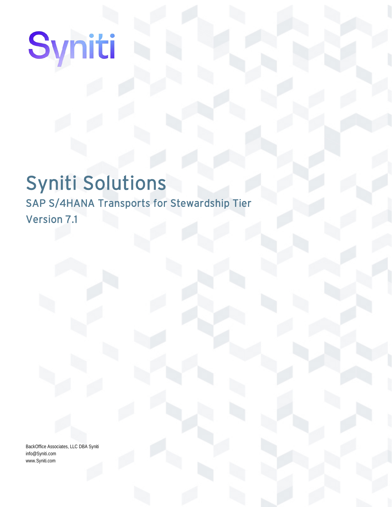# Syniti Solutions

SAP S/4HANA Transports for Stewardship Tier Version 7.1

BackOffice Associates, LLC DBA Syniti info@Syniti.com www.Syniti.com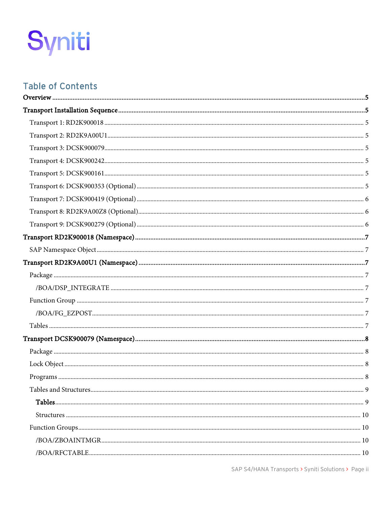

# **Table of Contents**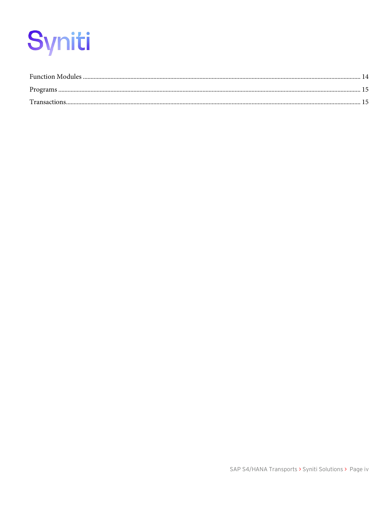| <b>Transactions</b> |  |
|---------------------|--|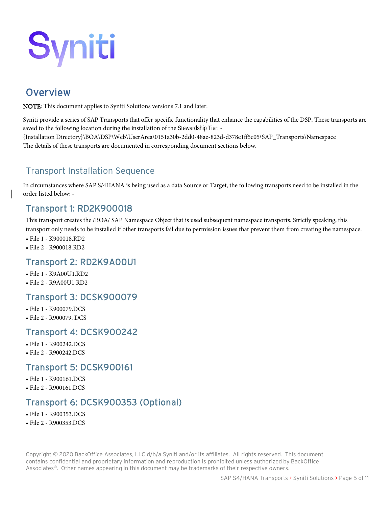# <span id="page-4-0"></span>**Overview**

NOTE: This document applies to Syniti Solutions versions 7.1 and later.

Syniti provide a series of SAP Transports that offer specific functionality that enhance the capabilities of the DSP. These transports are saved to the following location during the installation of the Stewardship Tier: -

{Installation Directory}\BOA\DSP\Web\UserArea\0151a30b-2dd0-48ae-823d-d378e1ff5c05\SAP\_Transports\Namespace The details of these transports are documented in corresponding document sections below.

# <span id="page-4-1"></span>Transport Installation Sequence

In circumstances where SAP S/4HANA is being used as a data Source or Target, the following transports need to be installed in the order listed below: -

# <span id="page-4-2"></span>Transport 1: RD2K900018

This transport creates the /BOA/ SAP Namespace Object that is used subsequent namespace transports. Strictly speaking, this transport only needs to be installed if other transports fail due to permission issues that prevent them from creating the namespace.

- File 1 K900018.RD2
- File 2 R900018.RD2

## <span id="page-4-3"></span>Transport 2: RD2K9A00U1

- File 1 K9A00U1.RD2
- File 2 R9A00U1.RD2

#### <span id="page-4-4"></span>Transport 3: DCSK900079

- File 1 K900079.DCS
- File 2 R900079. DCS

## <span id="page-4-5"></span>Transport 4: DCSK900242

- File 1 K900242.DCS
- File 2 R900242.DCS

#### <span id="page-4-6"></span>Transport 5: DCSK900161

- File 1 K900161.DCS
- File 2 R900161.DCS

# <span id="page-4-7"></span>Transport 6: DCSK900353 (Optional)

- File 1 K900353.DCS
- File 2 R900353.DCS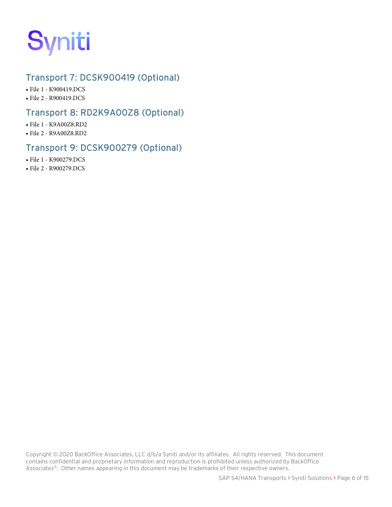

# <span id="page-5-0"></span>Transport 7: DCSK900419 (Optional)

• File 1 - K900419.DCS

• File 2 - R900419.DCS

#### <span id="page-5-1"></span>Transport 8: RD2K9A00Z8 (Optional)

- File 1 K9A00Z8.RD2
- File 2 R9A00Z8.RD2

#### <span id="page-5-2"></span>Transport 9: DCSK900279 (Optional)

- File 1 K900279.DCS
- File 2 R900279.DCS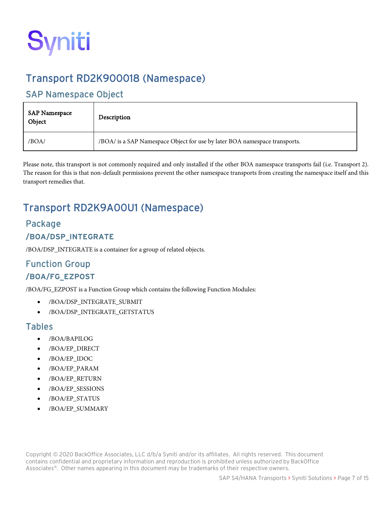

# <span id="page-6-0"></span>Transport RD2K900018 (Namespace)

## <span id="page-6-1"></span>SAP Namespace Object

| <b>SAP Namespace</b><br>Object | Description                                                                |
|--------------------------------|----------------------------------------------------------------------------|
| /BOA/                          | /BOA/ is a SAP Namespace Object for use by later BOA namespace transports. |

Please note, this transport is not commonly required and only installed if the other BOA namespace transports fail (i.e. Transport 2). The reason for this is that non-default permissions prevent the other namespace transports from creating the namespace itself and this transport remedies that.

# <span id="page-6-2"></span>Transport RD2K9A00U1 (Namespace)

#### <span id="page-6-3"></span>Package

#### <span id="page-6-4"></span>**/BOA/DSP\_INTEGRATE**

/BOA/DSP\_INTEGRATE is a container for a group of related objects.

# <span id="page-6-6"></span><span id="page-6-5"></span>Function Group **/BOA/FG\_EZPOST**

/BOA/FG\_EZPOST is a Function Group which contains the following Function Modules:

- /BOA/DSP\_INTEGRATE\_SUBMIT
- /BOA/DSP\_INTEGRATE\_GETSTATUS

#### <span id="page-6-7"></span>Tables

- /BOA/BAPILOG
- /BOA/EP\_DIRECT
- /BOA/EP\_IDOC
- /BOA/EP\_PARAM
- /BOA/EP\_RETURN
- /BOA/EP\_SESSIONS
- /BOA/EP\_STATUS
- /BOA/EP\_SUMMARY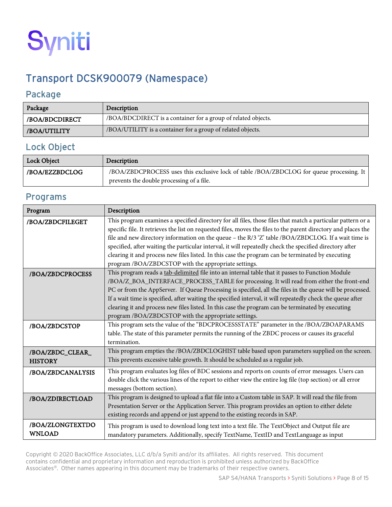

# <span id="page-7-0"></span>Transport DCSK900079 (Namespace)

#### <span id="page-7-1"></span>Package

| Package        | Description                                                   |
|----------------|---------------------------------------------------------------|
| /BOA/BDCDIRECT | /BOA/BDCDIRECT is a container for a group of related objects. |
| /BOA/UTILITY   | /BOA/UTILITY is a container for a group of related objects.   |

#### <span id="page-7-2"></span>Lock Object

| Lock Object    | Description                                                                              |
|----------------|------------------------------------------------------------------------------------------|
| /BOA/EZZBDCLOG | /BOA/ZBDCPROCESS uses this exclusive lock of table /BOA/ZBDCLOG for queue processing. It |
|                | prevents the double processing of a file.                                                |

#### <span id="page-7-3"></span>Programs

| Program                            | Description                                                                                                                                                                                                                                                                                                                                                                                                                                                                                                                                                                                                    |
|------------------------------------|----------------------------------------------------------------------------------------------------------------------------------------------------------------------------------------------------------------------------------------------------------------------------------------------------------------------------------------------------------------------------------------------------------------------------------------------------------------------------------------------------------------------------------------------------------------------------------------------------------------|
| /BOA/ZBDCFILEGET                   | This program examines a specified directory for all files, those files that match a particular pattern or a<br>specific file. It retrieves the list on requested files, moves the files to the parent directory and places the<br>file and new directory information on the queue - the R/3 'Z' table /BOA/ZBDCLOG. If a wait time is<br>specified, after waiting the particular interval, it will repeatedly check the specified directory after<br>clearing it and process new files listed. In this case the program can be terminated by executing<br>program /BOA/ZBDCSTOP with the appropriate settings. |
| /BOA/ZBDCPROCESS                   | This program reads a tab-delimited file into an internal table that it passes to Function Module<br>/BOA/Z_BOA_INTERFACE_PROCESS_TABLE for processing. It will read from either the front-end<br>PC or from the AppServer. If Queue Processing is specified, all the files in the queue will be processed.<br>If a wait time is specified, after waiting the specified interval, it will repeatedly check the queue after<br>clearing it and process new files listed. In this case the program can be terminated by executing<br>program /BOA/ZBDCSTOP with the appropriate settings.                         |
| /BOA/ZBDCSTOP                      | This program sets the value of the "BDCPROCESSSTATE" parameter in the /BOA/ZBOAPARAMS<br>table. The state of this parameter permits the running of the ZBDC process or causes its graceful<br>termination.                                                                                                                                                                                                                                                                                                                                                                                                     |
| /BOA/ZBDC_CLEAR_<br><b>HISTORY</b> | This program empties the /BOA/ZBDCLOGHIST table based upon parameters supplied on the screen.<br>This prevents excessive table growth. It should be scheduled as a regular job.                                                                                                                                                                                                                                                                                                                                                                                                                                |
| /BOA/ZBDCANALYSIS                  | This program evaluates log files of BDC sessions and reports on counts of error messages. Users can<br>double click the various lines of the report to either view the entire log file (top section) or all error<br>messages (bottom section).                                                                                                                                                                                                                                                                                                                                                                |
| /BOA/ZDIRECTLOAD                   | This program is designed to upload a flat file into a Custom table in SAP. It will read the file from<br>Presentation Server or the Application Server. This program provides an option to either delete<br>existing records and append or just append to the existing records in SAP.                                                                                                                                                                                                                                                                                                                         |
| /BOA/ZLONGTEXTDO<br><b>WNLOAD</b>  | This program is used to download long text into a text file. The TextObject and Output file are<br>mandatory parameters. Additionally, specify TextName, TextID and TextLanguage as input                                                                                                                                                                                                                                                                                                                                                                                                                      |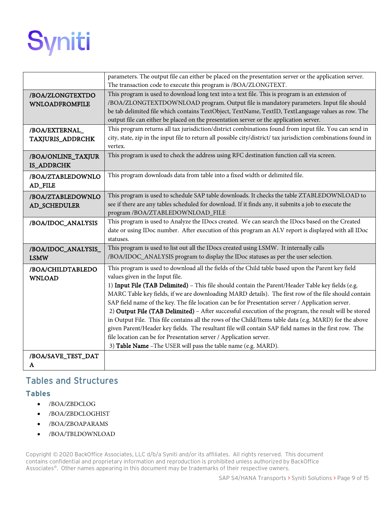

|                       | parameters. The output file can either be placed on the presentation server or the application server.          |
|-----------------------|-----------------------------------------------------------------------------------------------------------------|
|                       | The transaction code to execute this program is /BOA/ZLONGTEXT.                                                 |
| /BOA/ZLONGTEXTDO      | This program is used to download long text into a text file. This is program is an extension of                 |
| <b>WNLOADFROMFILE</b> | /BOA/ZLONGTEXTDOWNLOAD program. Output file is mandatory parameters. Input file should                          |
|                       | be tab delimited file which contains TextObject, TextName, TextID, TextLanguage values as row. The              |
|                       | output file can either be placed on the presentation server or the application server.                          |
| /BOA/EXTERNAL         | This program returns all tax jurisdiction/district combinations found from input file. You can send in          |
| TAXJURIS_ADDRCHK      | city, state, zip in the input file to return all possible city/district/ tax jurisdiction combinations found in |
|                       | vertex.                                                                                                         |
| /BOA/ONLINE_TAXJUR    | This program is used to check the address using RFC destination function call via screen.                       |
| <b>IS_ADDRCHK</b>     |                                                                                                                 |
| /BOA/ZTABLEDOWNLO     | This program downloads data from table into a fixed width or delimited file.                                    |
| AD_FILE               |                                                                                                                 |
| /BOA/ZTABLEDOWNLO     | This program is used to schedule SAP table downloads. It checks the table ZTABLEDOWNLOAD to                     |
| AD_SCHEDULER          | see if there are any tables scheduled for download. If it finds any, it submits a job to execute the            |
|                       | program /BOA/ZTABLEDOWNLOAD_FILE                                                                                |
| /BOA/IDOC_ANALYSIS    | This program is used to Analyze the IDocs created. We can search the IDocs based on the Created                 |
|                       | date or using IDoc number. After execution of this program an ALV report is displayed with all IDoc             |
|                       | statuses.                                                                                                       |
| /BOA/IDOC_ANALYSIS_   | This program is used to list out all the IDocs created using LSMW. It internally calls                          |
| <b>LSMW</b>           | /BOA/IDOC_ANALYSIS program to display the IDoc statuses as per the user selection.                              |
| /BOA/CHILDTABLEDO     | This program is used to download all the fields of the Child table based upon the Parent key field              |
| <b>WNLOAD</b>         | values given in the Input file.                                                                                 |
|                       | 1) Input File (TAB Delimited) - This file should contain the Parent/Header Table key fields (e.g.               |
|                       | MARC Table key fields, if we are downloading MARD details). The first row of the file should contain            |
|                       | SAP field name of the key. The file location can be for Presentation server / Application server.               |
|                       | 2) Output File (TAB Delimited) - After successful execution of the program, the result will be stored           |
|                       | in Output File. This file contains all the rows of the Child/Items table data (e.g. MARD) for the above         |
|                       | given Parent/Header key fields. The resultant file will contain SAP field names in the first row. The           |
|                       | file location can be for Presentation server / Application server.                                              |
|                       | 3) Table Name - The USER will pass the table name (e.g. MARD).                                                  |
| /BOA/SAVE_TEST_DAT    |                                                                                                                 |
| A                     |                                                                                                                 |

## <span id="page-8-0"></span>Tables and Structures

#### <span id="page-8-1"></span>**Tables**

- /BOA/ZBDCLOG
- /BOA/ZBDCLOGHIST
- /BOA/ZBOAPARAMS
- /BOA/TBLDOWNLOAD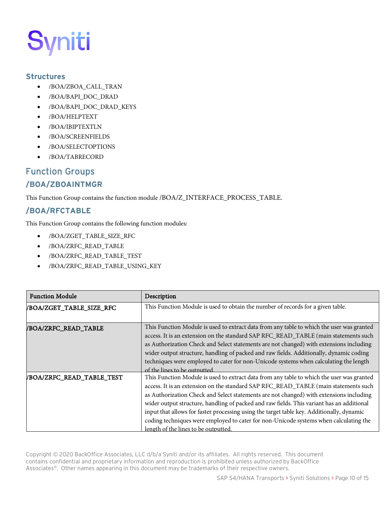#### <span id="page-9-0"></span>**Structures**

- /BOA/ZBOA\_CALL\_TRAN
- /BOA/BAPI\_DOC\_DRAD
- /BOA/BAPI\_DOC\_DRAD\_KEYS
- /BOA/HELPTEXT
- /BOA/IBIPTEXTLN
- /BOA/SCREENFIELDS
- /BOA/SELECTOPTIONS
- /BOA/TABRECORD

# <span id="page-9-1"></span>Function Groups

#### <span id="page-9-2"></span>**/BOA/ZBOAINTMGR**

This Function Group contains the function module /BOA/Z\_INTERFACE\_PROCESS\_TABLE.

#### <span id="page-9-3"></span>**/BOA/RFCTABLE**

This Function Group contains the following function modules:

- /BOA/ZGET\_TABLE\_SIZE\_RFC
- /BOA/ZRFC\_READ\_TABLE
- /BOA/ZRFC\_READ\_TABLE\_TEST
- /BOA/ZRFC\_READ\_TABLE\_USING\_KEY

| <b>Function Module</b>    | Description                                                                                                                                                                                                                                                                                                                                                                                                                                                                                                                                                                                            |
|---------------------------|--------------------------------------------------------------------------------------------------------------------------------------------------------------------------------------------------------------------------------------------------------------------------------------------------------------------------------------------------------------------------------------------------------------------------------------------------------------------------------------------------------------------------------------------------------------------------------------------------------|
| /BOA/ZGET_TABLE_SIZE_RFC  | This Function Module is used to obtain the number of records for a given table.                                                                                                                                                                                                                                                                                                                                                                                                                                                                                                                        |
| /BOA/ZRFC_READ_TABLE      | This Function Module is used to extract data from any table to which the user was granted<br>access. It is an extension on the standard SAP RFC_READ_TABLE (main statements such<br>as Authorization Check and Select statements are not changed) with extensions including<br>wider output structure, handling of packed and raw fields. Additionally, dynamic coding<br>techniques were employed to cater for non-Unicode systems when calculating the length<br>of the lines to be outputted                                                                                                        |
| /BOA/ZRFC_READ_TABLE_TEST | This Function Module is used to extract data from any table to which the user was granted<br>access. It is an extension on the standard SAP RFC_READ_TABLE (main statements such<br>as Authorization Check and Select statements are not changed) with extensions including<br>wider output structure, handling of packed and raw fields. This variant has an additional<br>input that allows for faster processing using the target table key. Additionally, dynamic<br>coding techniques were employed to cater for non-Unicode systems when calculating the<br>length of the lines to be outputted. |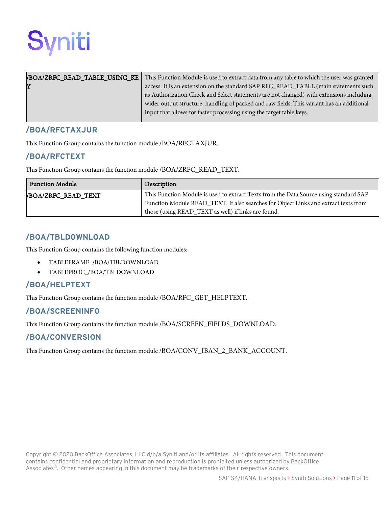

|   | <b>BOA/ZRFC_READ_TABLE_USING_KE</b> This Function Module is used to extract data from any table to which the user was granted |
|---|-------------------------------------------------------------------------------------------------------------------------------|
| Y | access. It is an extension on the standard SAP RFC_READ_TABLE (main statements such                                           |
|   | as Authorization Check and Select statements are not changed) with extensions including                                       |
|   | wider output structure, handling of packed and raw fields. This variant has an additional                                     |
|   | input that allows for faster processing using the target table keys.                                                          |
|   |                                                                                                                               |

#### <span id="page-10-0"></span>**/BOA/RFCTAXJUR**

This Function Group contains the function module /BOA/RFCTAXJUR.

#### <span id="page-10-1"></span>**/BOA/RFCTEXT**

This Function Group contains the function module /BOA/ZRFC\_READ\_TEXT.

| <b>Function Module</b> | Description                                                                           |
|------------------------|---------------------------------------------------------------------------------------|
| /BOA/ZRFC_READ_TEXT    | This Function Module is used to extract Texts from the Data Source using standard SAP |
|                        | Function Module READ_TEXT. It also searches for Object Links and extract texts from   |
|                        | those (using READ_TEXT as well) if links are found.                                   |

#### <span id="page-10-2"></span>**/BOA/TBLDOWNLOAD**

This Function Group contains the following function modules:

- TABLEFRAME\_/BOA/TBLDOWNLOAD
- TABLEPROC\_/BOA/TBLDOWNLOAD

#### <span id="page-10-3"></span>**/BOA/HELPTEXT**

This Function Group contains the function module /BOA/RFC\_GET\_HELPTEXT.

#### <span id="page-10-4"></span>**/BOA/SCREENINFO**

This Function Group contains the function module /BOA/SCREEN\_FIELDS\_DOWNLOAD.

#### <span id="page-10-5"></span>**/BOA/CONVERSION**

This Function Group contains the function module /BOA/CONV\_IBAN\_2\_BANK\_ACCOUNT.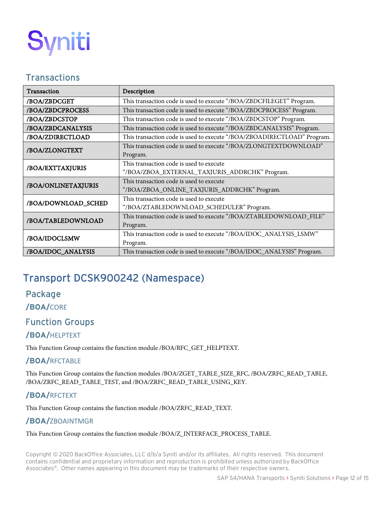

#### <span id="page-11-0"></span>**Transactions**

| Transaction         | Description                                                             |
|---------------------|-------------------------------------------------------------------------|
| /BOA/ZBDCGET        | This transaction code is used to execute "/BOA/ZBDCFILEGET" Program.    |
| /BOA/ZBDCPROCESS    | This transaction code is used to execute "/BOA/ZBDCPROCESS" Program.    |
| /BOA/ZBDCSTOP       | This transaction code is used to execute "/BOA/ZBDCSTOP" Program.       |
| /BOA/ZBDCANALYSIS   | This transaction code is used to execute "/BOA/ZBDCANALYSIS" Program.   |
| /BOA/ZDIRECTLOAD    | This transaction code is used to execute "/BOA/ZBOADIRECTLOAD" Program. |
| /BOA/ZLONGTEXT      | This transaction code is used to execute "/BOA/ZLONGTEXTDOWNLOAD"       |
|                     | Program.                                                                |
| /BOA/EXTTAXJURIS    | This transaction code is used to execute                                |
|                     | "/BOA/ZBOA_EXTERNAL_TAXJURIS_ADDRCHK" Program.                          |
| /BOA/ONLINETAXJURIS | This transaction code is used to execute                                |
|                     | "/BOA/ZBOA_ONLINE_TAXJURIS_ADDRCHK" Program.                            |
| /BOA/DOWNLOAD_SCHED | This transaction code is used to execute                                |
|                     | "/BOA/ZTABLEDOWNLOAD_SCHEDULER" Program.                                |
| /BOA/TABLEDOWNLOAD  | This transaction code is used to execute "/BOA/ZTABLEDOWNLOAD_FILE"     |
|                     | Program.                                                                |
| /BOA/IDOCLSMW       | This transaction code is used to execute "/BOA/IDOC_ANALYSIS_LSMW"      |
|                     | Program.                                                                |
| /BOA/IDOC_ANALYSIS  | This transaction code is used to execute "/BOA/IDOC_ANALYSIS" Program.  |

# <span id="page-11-1"></span>Transport DCSK900242 (Namespace)

#### <span id="page-11-2"></span>Package

<span id="page-11-3"></span>**/BOA/**CORE

## <span id="page-11-4"></span>Function Groups

#### <span id="page-11-5"></span>**/BOA/**HELPTEXT

This Function Group contains the function module /BOA/RFC\_GET\_HELPTEXT.

#### <span id="page-11-6"></span>**/BOA/**RFCTABLE

This Function Group contains the function modules /BOA/ZGET\_TABLE\_SIZE\_RFC, /BOA/ZRFC\_READ\_TABLE, /BOA/ZRFC\_READ\_TABLE\_TEST, and /BOA/ZRFC\_READ\_TABLE\_USING\_KEY.

#### <span id="page-11-7"></span>**/BOA/**RFCTEXT

This Function Group contains the function module /BOA/ZRFC\_READ\_TEXT.

#### <span id="page-11-8"></span>**/BOA/**ZBOAINTMGR

This Function Group contains the function module /BOA/Z\_INTERFACE\_PROCESS\_TABLE.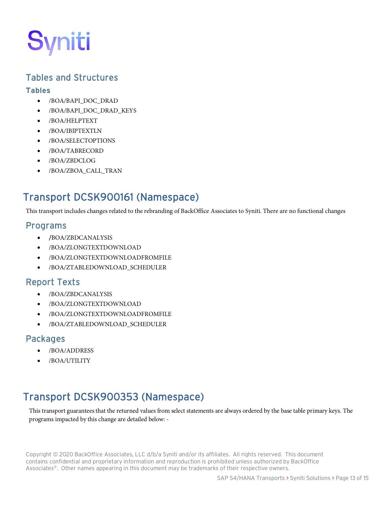

#### <span id="page-12-0"></span>Tables and Structures

#### <span id="page-12-1"></span>**Tables**

- /BOA/BAPI\_DOC\_DRAD
- /BOA/BAPI\_DOC\_DRAD\_KEYS
- /BOA/HELPTEXT
- /BOA/IBIPTEXTLN
- /BOA/SELECTOPTIONS
- /BOA/TABRECORD
- /BOA/ZBDCLOG
- /BOA/ZBOA\_CALL\_TRAN

# <span id="page-12-2"></span>Transport DCSK900161 (Namespace)

This transport includes changes related to the rebranding of BackOffice Associates to Syniti. There are no functional changes

#### <span id="page-12-3"></span>Programs

- /BOA/ZBDCANALYSIS
- /BOA/ZLONGTEXTDOWNLOAD
- /BOA/ZLONGTEXTDOWNLOADFROMFILE
- /BOA/ZTABLEDOWNLOAD\_SCHEDULER

## <span id="page-12-4"></span>Report Texts

- /BOA/ZBDCANALYSIS
- /BOA/ZLONGTEXTDOWNLOAD
- /BOA/ZLONGTEXTDOWNLOADFROMFILE
- /BOA/ZTABLEDOWNLOAD\_SCHEDULER

#### <span id="page-12-5"></span>Packages

- /BOA/ADDRESS
- /BOA/UTILITY

# <span id="page-12-6"></span>Transport DCSK900353 (Namespace)

This transport guarantees that the returned values from select statements are always ordered by the base table primary keys. The programs impacted by this change are detailed below: -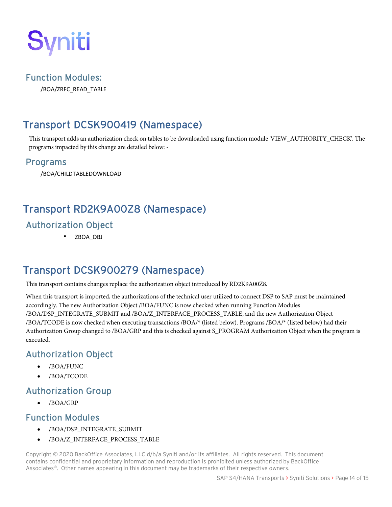

#### <span id="page-13-0"></span>Function Modules:

/BOA/ZRFC\_READ\_TABLE

# <span id="page-13-1"></span>Transport DCSK900419 (Namespace)

This transport adds an authorization check on tables to be downloaded using function module 'VIEW\_AUTHORITY\_CHECK'. The programs impacted by this change are detailed below: -

#### <span id="page-13-2"></span>Programs

/BOA/CHILDTABLEDOWNLOAD

# <span id="page-13-3"></span>Transport RD2K9A00Z8 (Namespace)

# <span id="page-13-4"></span>Authorization Object

**EXAMPLE 2BOA OBJ** 

# <span id="page-13-5"></span>Transport DCSK900279 (Namespace)

This transport contains changes replace the authorization object introduced by RD2K9A00Z8.

When this transport is imported, the authorizations of the technical user utilized to connect DSP to SAP must be maintained accordingly. The new Authorization Object /BOA/FUNC is now checked when running Function Modules /BOA/DSP\_INTEGRATE\_SUBMIT and /BOA/Z\_INTERFACE\_PROCESS\_TABLE, and the new Authorization Object /BOA/TCODE is now checked when executing transactions /BOA/\* (listed below). Programs /BOA/\* (listed below) had their Authorization Group changed to /BOA/GRP and this is checked against S\_PROGRAM Authorization Object when the program is executed.

## <span id="page-13-6"></span>Authorization Object

- /BOA/FUNC
- /BOA/TCODE

#### <span id="page-13-7"></span>Authorization Group

• /BOA/GRP

#### <span id="page-13-8"></span>Function Modules

- /BOA/DSP\_INTEGRATE\_SUBMIT
- /BOA/Z\_INTERFACE\_PROCESS\_TABLE